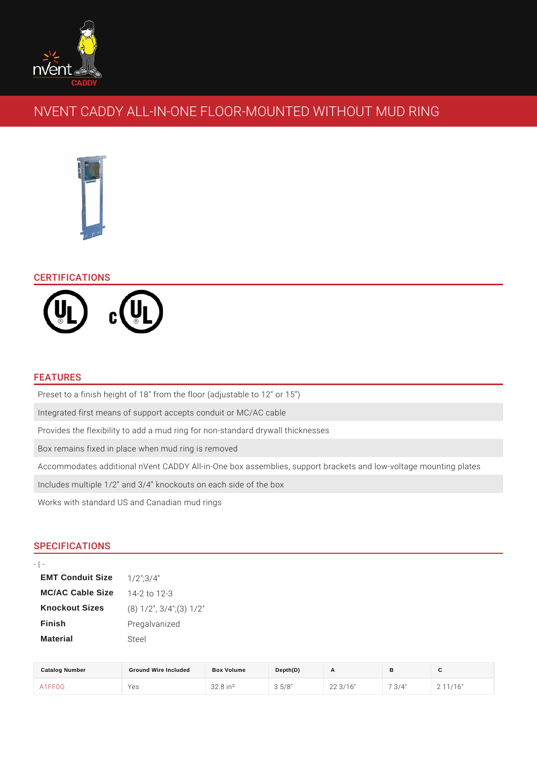# NVENT CADDY ALL-IN-ONE FLOOR-MOUNTED WITHO

## CERTIFICATIONS

#### FEATURES

Preset to a finish height of 18 from the floor (adjustable to 12 or 15 ) Integrated first means of support accepts conduit or MC/AC cable Provides the flexibility to add a mud ring for non-standard drywall thicknesses Box remains fixed in place when mud ring is removed Accommodates additional nVent CADDY All-in-One box assemblies, support brac Includes multiple 1/2 and 3/4 knockouts on each side of the box Works with standard US and Canadian mud rings

## SPECIFICATIONS

| <b>EMT Conduit Size</b> | $1/2$ "; $3/4$ "           |
|-------------------------|----------------------------|
| MC/AC Cable Size        | 14-2 to 12-3               |
| Knockout Sizes          | $(8)$ 1/2", 3/4"; (3) 1/2" |
| Finish                  | Pregalvanized              |
| Material                | Steel                      |

| Catalog Number | Ground Wire Included | Box Volume             | Depth(D) |          |         | ັ      |
|----------------|----------------------|------------------------|----------|----------|---------|--------|
| A 1 F F 0 G    | Yes                  | $32.8$ in <sup>3</sup> | 5/8"     | 22 3/16" | $3/4$ " | 11/16" |